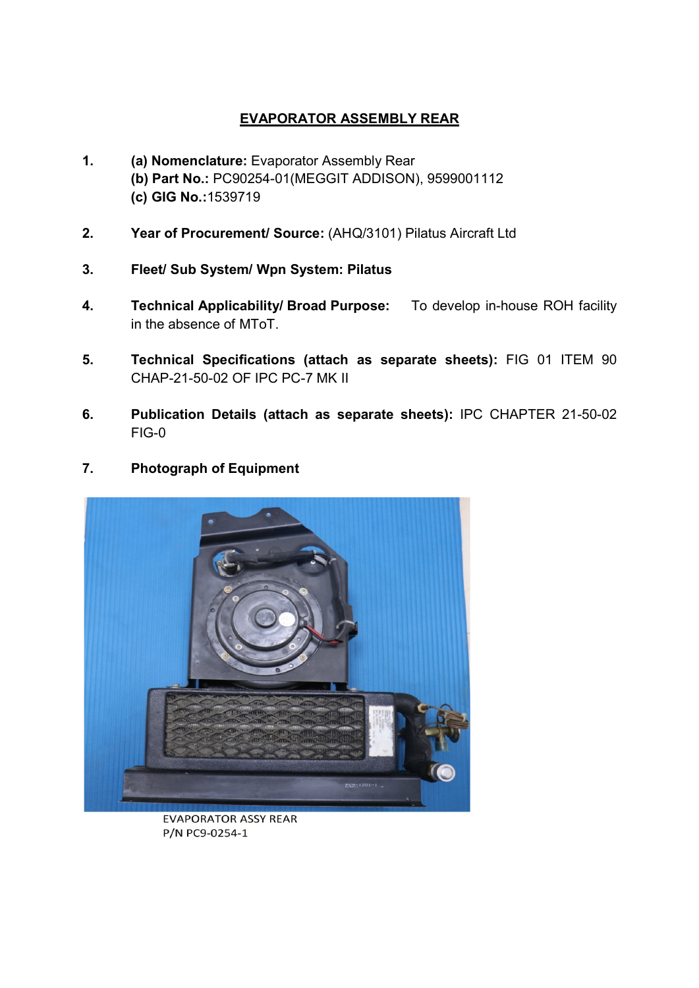## EVAPORATOR ASSEMBLY REAR

- 1. (a) Nomenclature: Evaporator Assembly Rear (b) Part No.: PC90254-01(MEGGIT ADDISON), 9599001112 (c) GIG No.:1539719
- 2. Year of Procurement/ Source: (AHQ/3101) Pilatus Aircraft Ltd
- 3. Fleet/ Sub System/ Wpn System: Pilatus
- 4. Technical Applicability/ Broad Purpose: To develop in-house ROH facility in the absence of MToT.
- 5. Technical Specifications (attach as separate sheets): FIG 01 ITEM 90 CHAP-21-50-02 OF IPC PC-7 MK II
- 6. Publication Details (attach as separate sheets): IPC CHAPTER 21-50-02 FIG-0
- 7. Photograph of Equipment



**EVAPORATOR ASSY REAR** P/N PC9-0254-1